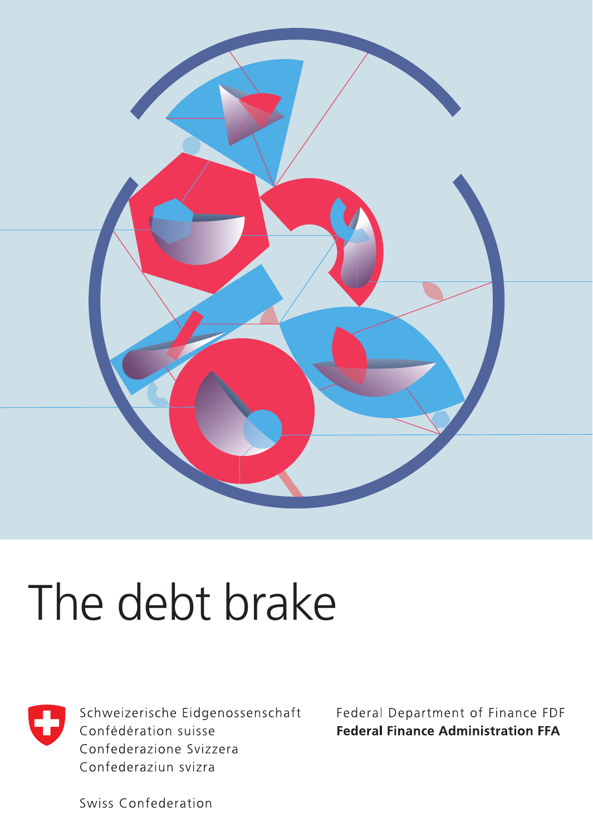

# The debt brake



Schweizerische Eidgenossenschaft Confédération suisse Confederazione Svizzera Confederaziun svizra

Federal Department of Finance FDF **Federal Finance Administration FFA** 

Swiss Confederation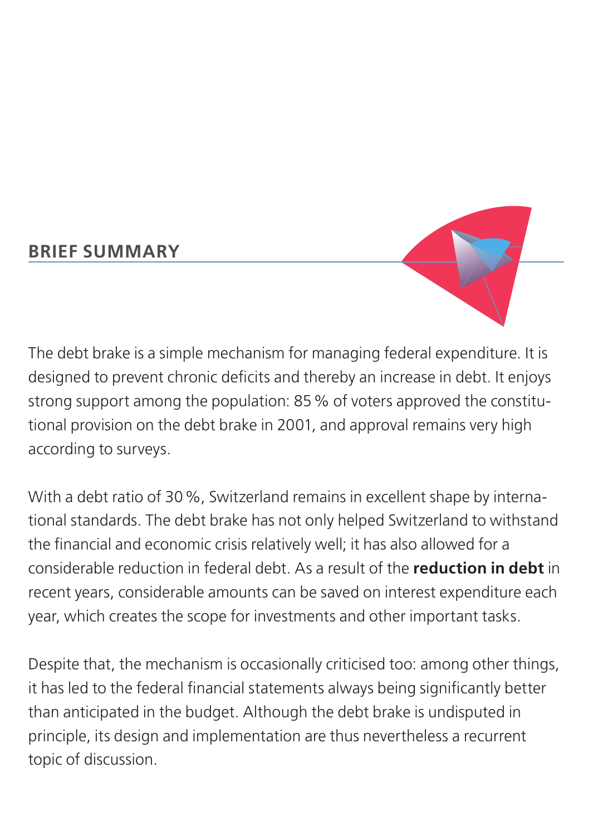#### **BRIEF SUMMARY**



The debt brake is a simple mechanism for managing federal expenditure. It is designed to prevent chronic deficits and thereby an increase in debt. It enjoys strong support among the population: 85% of voters approved the constitutional provision on the debt brake in 2001, and approval remains very high according to surveys.

With a debt ratio of 30%, Switzerland remains in excellent shape by international standards. The debt brake has not only helped Switzerland to withstand the financial and economic crisis relatively well; it has also allowed for a considerable reduction in federal debt. As a result of the **reduction in debt** in recent years, considerable amounts can be saved on interest expenditure each year, which creates the scope for investments and other important tasks.

Despite that, the mechanism is occasionally criticised too: among other things, it has led to the federal financial statements always being significantly better than anticipated in the budget. Although the debt brake is undisputed in principle, its design and implementation are thus nevertheless a recurrent topic of discussion.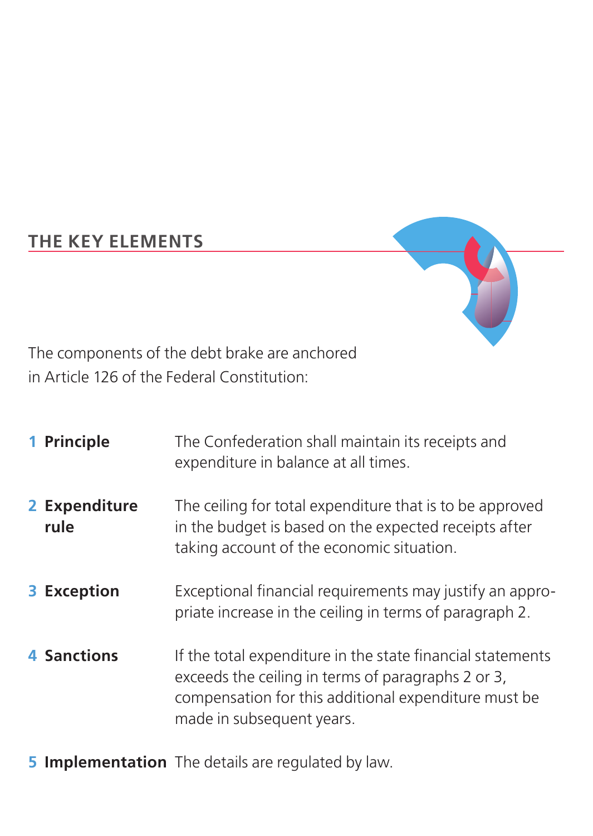#### **THE KEY ELEMENTS**



The components of the debt brake are anchored in Article 126 of the Federal Constitution:

| 1 Principle           | The Confederation shall maintain its receipts and<br>expenditure in balance at all times.                                                                                                             |
|-----------------------|-------------------------------------------------------------------------------------------------------------------------------------------------------------------------------------------------------|
| 2 Expenditure<br>rule | The ceiling for total expenditure that is to be approved<br>in the budget is based on the expected receipts after<br>taking account of the economic situation.                                        |
| 3 Exception           | Exceptional financial requirements may justify an appro-<br>priate increase in the ceiling in terms of paragraph 2.                                                                                   |
| 4 Sanctions           | If the total expenditure in the state financial statements<br>exceeds the ceiling in terms of paragraphs 2 or 3.<br>compensation for this additional expenditure must be<br>made in subsequent years. |

**5 Implementation** The details are regulated by law.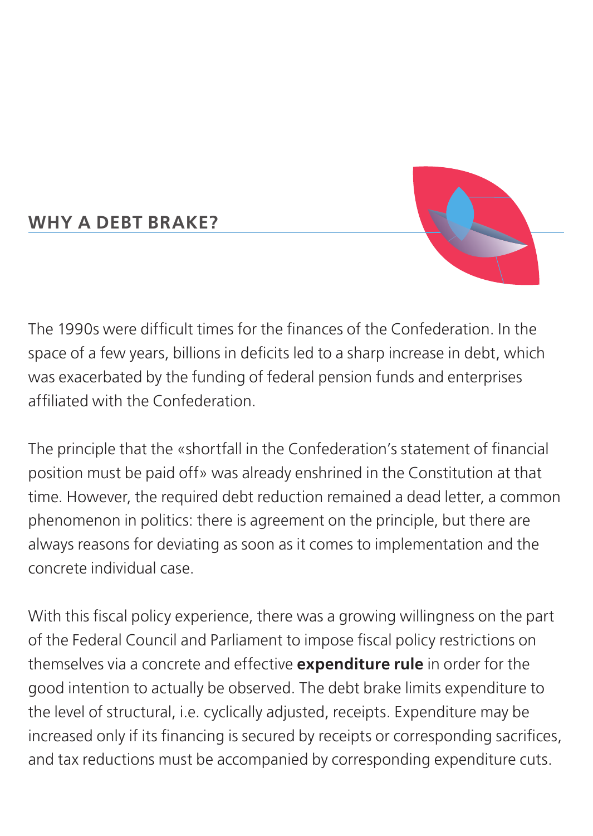#### **WHY A DEBT BRAKE?**



The 1990s were difficult times for the finances of the Confederation. In the space of a few years, billions in deficits led to a sharp increase in debt, which was exacerbated by the funding of federal pension funds and enterprises affiliated with the Confederation.

The principle that the «shortfall in the Confederation's statement of financial position must be paid off» was already enshrined in the Constitution at that time. However, the required debt reduction remained a dead letter, a common phenomenon in politics: there is agreement on the principle, but there are always reasons for deviating as soon as it comes to implementation and the concrete individual case.

With this fiscal policy experience, there was a growing willingness on the part of the Federal Council and Parliament to impose fiscal policy restrictions on themselves via a concrete and effective **expenditure rule** in order for the good intention to actually be observed. The debt brake limits expenditure to the level of structural, i.e. cyclically adjusted, receipts. Expenditure may be increased only if its financing is secured by receipts or corresponding sacrifices, and tax reductions must be accompanied by corresponding expenditure cuts.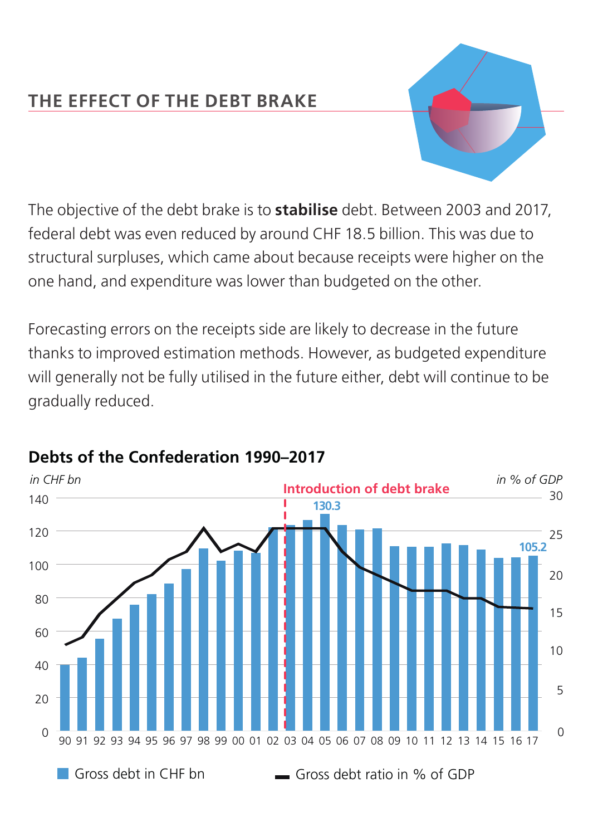#### **THE EFFECT OF THE DEBT BRAKE**



The objective of the debt brake is to **stabilise** debt. Between 2003 and 2017, federal debt was even reduced by around CHF 18.5 billion. This was due to structural surpluses, which came about because receipts were higher on the one hand, and expenditure was lower than budgeted on the other.

Forecasting errors on the receipts side are likely to decrease in the future thanks to improved estimation methods. However, as budgeted expenditure will generally not be fully utilised in the future either, debt will continue to be gradually reduced.



#### **Debts of the Confederation 1990–2017**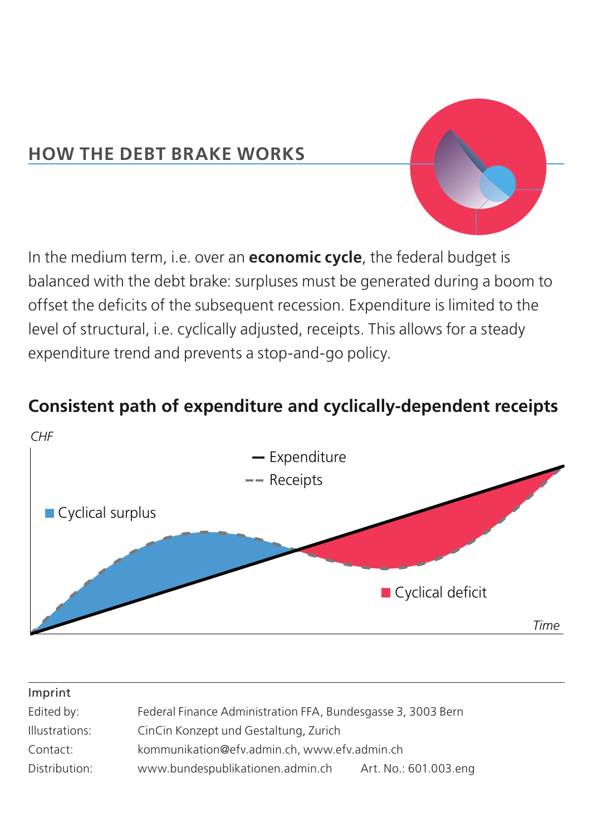#### **HOW THE DEBT BRAKE WORKS**

In the medium term, i.e. over an **economic cycle**, the federal budget is balanced with the debt brake: surpluses must be generated during a boom to offset the deficits of the subsequent recession. Expenditure is limited to the level of structural, i.e. cyclically adjusted, receipts. This allows for a steady expenditure trend and prevents a stop-and-go policy.

## *CHF Time* **Cyclical surplus** Cyclical deficit -- Receipts - Expenditure

#### **Consistent path of expenditure and cyclically-dependent receipts**

| Imprint        |                                                              |                       |
|----------------|--------------------------------------------------------------|-----------------------|
| Edited by:     | Federal Finance Administration FFA, Bundesgasse 3, 3003 Bern |                       |
| Illustrations: | CinCin Konzept und Gestaltung, Zurich                        |                       |
| Contact:       | kommunikation@efv.admin.ch. www.efv.admin.ch                 |                       |
| Distribution:  | www.bundespublikationen.admin.ch                             | Art. No.: 601.003.eng |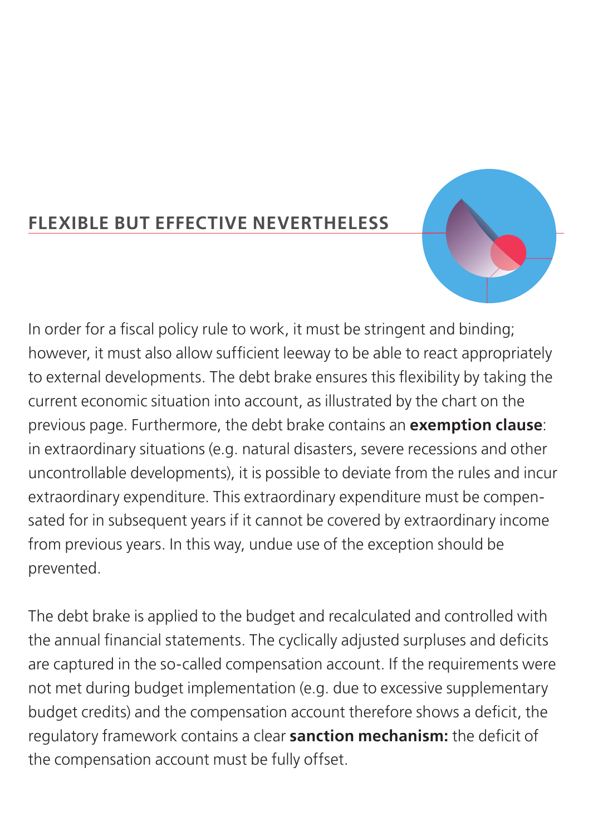#### **FLEXIBLE BUT EFFECTIVE NEVERTHELESS**



In order for a fiscal policy rule to work, it must be stringent and binding; however, it must also allow sufficient leeway to be able to react appropriately to external developments. The debt brake ensures this flexibility by taking the current economic situation into account, as illustrated by the chart on the previous page. Furthermore, the debt brake contains an **exemption clause**: in extraordinary situations (e.g. natural disasters, severe recessions and other uncontrollable developments), it is possible to deviate from the rules and incur extraordinary expenditure. This extraordinary expenditure must be compensated for in subsequent years if it cannot be covered by extraordinary income from previous years. In this way, undue use of the exception should be prevented.

The debt brake is applied to the budget and recalculated and controlled with the annual financial statements. The cyclically adjusted surpluses and deficits are captured in the so-called compensation account. If the requirements were not met during budget implementation (e.g. due to excessive supplementary budget credits) and the compensation account therefore shows a deficit, the regulatory framework contains a clear **sanction mechanism:** the deficit of the compensation account must be fully offset.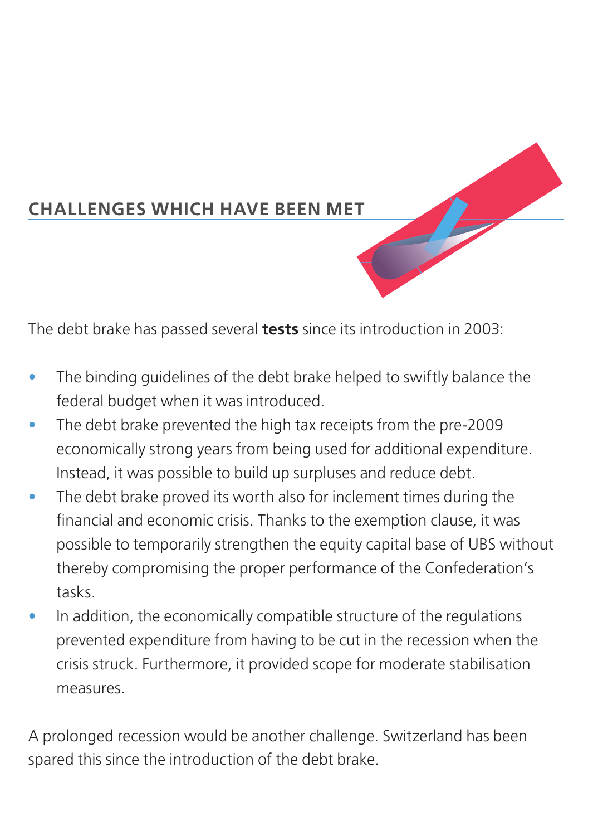

#### **CHALLENGES WHICH HAVE BEEN MET**

The debt brake has passed several **tests** since its introduction in 2003:

- The binding quidelines of the debt brake helped to swiftly balance the federal budget when it was introduced.
- The debt brake prevented the high tax receipts from the pre-2009 economically strong years from being used for additional expenditure. Instead, it was possible to build up surpluses and reduce debt.
- The debt brake proved its worth also for inclement times during the financial and economic crisis. Thanks to the exemption clause, it was possible to temporarily strengthen the equity capital base of UBS without thereby compromising the proper performance of the Confederation's tasks.
- In addition, the economically compatible structure of the regulations prevented expenditure from having to be cut in the recession when the crisis struck. Furthermore, it provided scope for moderate stabilisation measures.

A prolonged recession would be another challenge. Switzerland has been spared this since the introduction of the debt brake.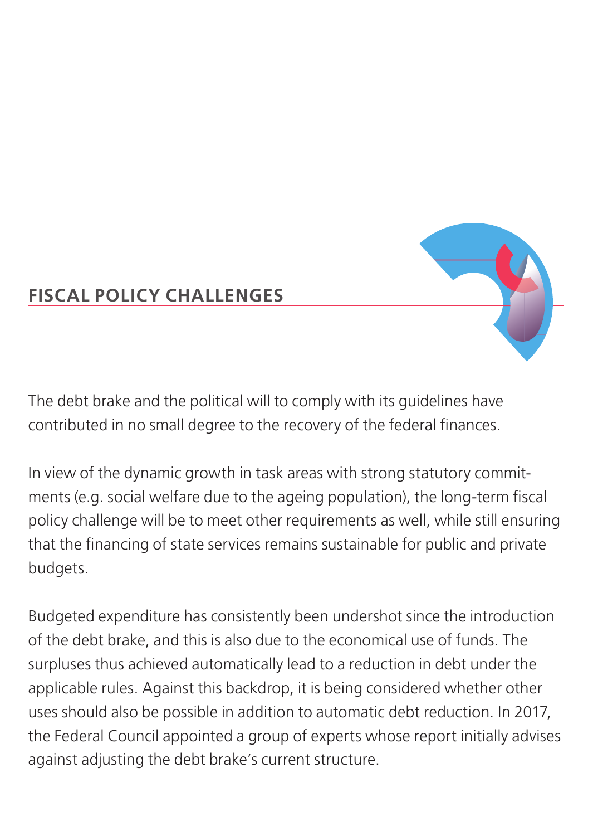### **FISCAL POLICY CHALLENGES**

The debt brake and the political will to comply with its guidelines have contributed in no small degree to the recovery of the federal finances.

In view of the dynamic growth in task areas with strong statutory commitments (e.g. social welfare due to the ageing population), the long-term fiscal policy challenge will be to meet other requirements as well, while still ensuring that the financing of state services remains sustainable for public and private budgets.

Budgeted expenditure has consistently been undershot since the introduction of the debt brake, and this is also due to the economical use of funds. The surpluses thus achieved automatically lead to a reduction in debt under the applicable rules. Against this backdrop, it is being considered whether other uses should also be possible in addition to automatic debt reduction. In 2017, the Federal Council appointed a group of experts whose report initially advises against adjusting the debt brake's current structure.